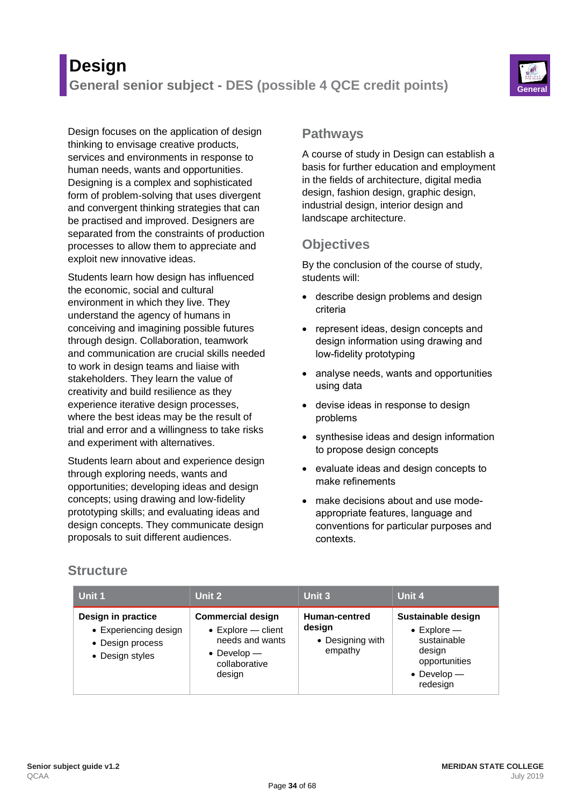# **Design General senior subject - DES (possible 4 QCE credit points)**



Design focuses on the application of design thinking to envisage creative products, services and environments in response to human needs, wants and opportunities. Designing is a complex and sophisticated form of problem-solving that uses divergent and convergent thinking strategies that can be practised and improved. Designers are separated from the constraints of production processes to allow them to appreciate and exploit new innovative ideas.

Students learn how design has influenced the economic, social and cultural environment in which they live. They understand the agency of humans in conceiving and imagining possible futures through design. Collaboration, teamwork and communication are crucial skills needed to work in design teams and liaise with stakeholders. They learn the value of creativity and build resilience as they experience iterative design processes, where the best ideas may be the result of trial and error and a willingness to take risks and experiment with alternatives.

Students learn about and experience design through exploring needs, wants and opportunities; developing ideas and design concepts; using drawing and low-fidelity prototyping skills; and evaluating ideas and design concepts. They communicate design proposals to suit different audiences.

#### **Pathways**

A course of study in Design can establish a basis for further education and employment in the fields of architecture, digital media design, fashion design, graphic design, industrial design, interior design and landscape architecture.

## **Objectives**

By the conclusion of the course of study, students will:

- describe design problems and design criteria
- represent ideas, design concepts and design information using drawing and low-fidelity prototyping
- analyse needs, wants and opportunities using data
- devise ideas in response to design problems
- synthesise ideas and design information to propose design concepts
- evaluate ideas and design concepts to make refinements
- make decisions about and use modeappropriate features, language and conventions for particular purposes and contexts.

### **Structure**

| Unit 1                                                                             | Unit 2                                                                                                                      | Unit 3                                                 | Unit 4                                                                                                                   |
|------------------------------------------------------------------------------------|-----------------------------------------------------------------------------------------------------------------------------|--------------------------------------------------------|--------------------------------------------------------------------------------------------------------------------------|
| Design in practice<br>• Experiencing design<br>• Design process<br>• Design styles | <b>Commercial design</b><br>$\bullet$ Explore – client<br>needs and wants<br>$\bullet$ Develop —<br>collaborative<br>design | Human-centred<br>design<br>• Designing with<br>empathy | Sustainable design<br>$\bullet$ Explore $-$<br>sustainable<br>design<br>opportunities<br>$\bullet$ Develop —<br>redesign |